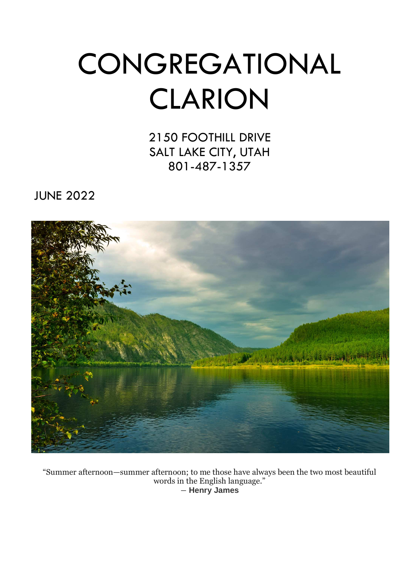# **CONGREGATIONAL** CLARION

2150 FOOTHILL DRIVE SALT LAKE CITY, UTAH 801-487-1357

JUNE 2022



"Summer afternoon—summer afternoon; to me those have always been the two most beautiful words in the English language." ― **Henry James**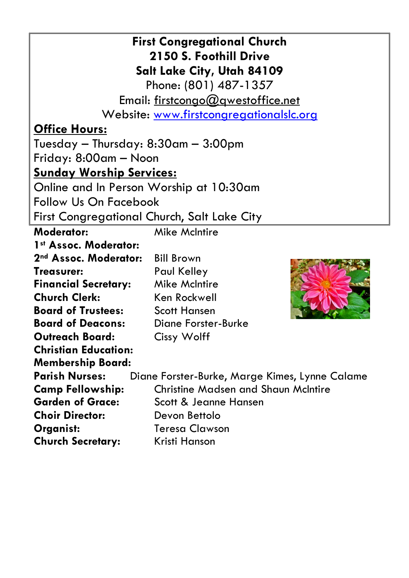| <b>First Congregational Church</b>          |                                                                         |  |  |  |  |  |
|---------------------------------------------|-------------------------------------------------------------------------|--|--|--|--|--|
| 2150 S. Foothill Drive                      |                                                                         |  |  |  |  |  |
| <b>Salt Lake City, Utah 84109</b>           |                                                                         |  |  |  |  |  |
|                                             | Phone: (801) 487-1357                                                   |  |  |  |  |  |
|                                             | Email: firstcongo@gwestoffice.net                                       |  |  |  |  |  |
|                                             | Website: www.firstcongregationalslc.org                                 |  |  |  |  |  |
| <b>Office Hours:</b>                        |                                                                         |  |  |  |  |  |
| Tuesday — Thursday: $8:30$ am — $3:00$ pm   |                                                                         |  |  |  |  |  |
| Friday: 8:00am — Noon                       |                                                                         |  |  |  |  |  |
| <u> Sunday Worship Services:</u>            |                                                                         |  |  |  |  |  |
| Online and In Person Worship at 10:30am     |                                                                         |  |  |  |  |  |
|                                             | <b>Follow Us On Facebook</b>                                            |  |  |  |  |  |
| First Congregational Church, Salt Lake City |                                                                         |  |  |  |  |  |
| <b>Moderator:</b>                           | <b>Mike McIntire</b>                                                    |  |  |  |  |  |
| 1st Assoc. Moderator:                       |                                                                         |  |  |  |  |  |
| 2 <sup>nd</sup> Assoc. Moderator:           | <b>Bill Brown</b>                                                       |  |  |  |  |  |
| Treasurer:                                  | <b>Paul Kelley</b>                                                      |  |  |  |  |  |
| <b>Financial Secretary:</b>                 | <b>Mike McIntire</b>                                                    |  |  |  |  |  |
| <b>Church Clerk:</b>                        | Ken Rockwell                                                            |  |  |  |  |  |
| <b>Board of Trustees:</b>                   | <b>Scott Hansen</b>                                                     |  |  |  |  |  |
| <b>Board of Deacons:</b>                    | <b>Diane Forster-Burke</b>                                              |  |  |  |  |  |
| <b>Outreach Board:</b>                      | <b>Cissy Wolff</b>                                                      |  |  |  |  |  |
| <b>Christian Education:</b>                 |                                                                         |  |  |  |  |  |
| <b>Membership Board:</b>                    |                                                                         |  |  |  |  |  |
|                                             | <b>Parish Nurses:</b><br>Diane Forster-Burke, Marge Kimes, Lynne Calame |  |  |  |  |  |
| <b>Camp Fellowship:</b>                     | <b>Christine Madsen and Shaun McIntire</b>                              |  |  |  |  |  |
| <b>Garden of Grace:</b>                     | Scott & Jeanne Hansen                                                   |  |  |  |  |  |
| <b>Choir Director:</b>                      | Devon Bettolo                                                           |  |  |  |  |  |
| Organist:                                   | <b>Teresa Clawson</b>                                                   |  |  |  |  |  |
| <b>Church Secretary:</b>                    | Kristi Hanson                                                           |  |  |  |  |  |
|                                             |                                                                         |  |  |  |  |  |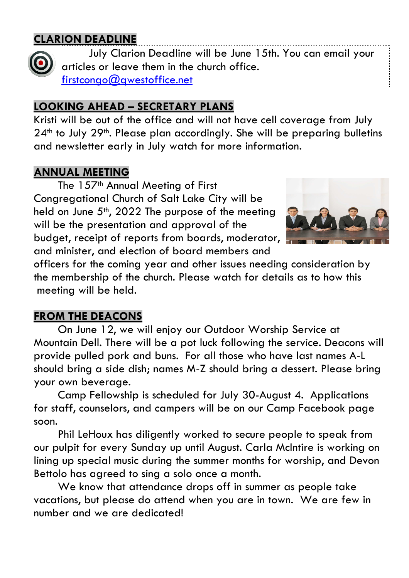# **CLARION DEADLINE**



 July Clarion Deadline will be June 15th. You can email your articles or leave them in the church office. firstcongo@qwestoffice.net

# **LOOKING AHEAD – SECRETARY PLANS**

Kristi will be out of the office and will not have cell coverage from July 24<sup>th</sup> to July 29<sup>th</sup>. Please plan accordingly. She will be preparing bulletins and newsletter early in July watch for more information.

# **ANNUAL MEETING**

The 157<sup>th</sup> Annual Meeting of First Congregational Church of Salt Lake City will be held on June  $5<sup>th</sup>$ , 2022 The purpose of the meeting will be the presentation and approval of the budget, receipt of reports from boards, moderator, and minister, and election of board members and



officers for the coming year and other issues needing consideration by the membership of the church. Please watch for details as to how this meeting will be held.

# **FROM THE DEACONS**

 On June 12, we will enjoy our Outdoor Worship Service at Mountain Dell. There will be a pot luck following the service. Deacons will provide pulled pork and buns. For all those who have last names A-L should bring a side dish; names M-Z should bring a dessert. Please bring your own beverage.

 Camp Fellowship is scheduled for July 30-August 4. Applications for staff, counselors, and campers will be on our Camp Facebook page soon.

 Phil LeHoux has diligently worked to secure people to speak from our pulpit for every Sunday up until August. Carla McIntire is working on lining up special music during the summer months for worship, and Devon Bettolo has agreed to sing a solo once a month.

 We know that attendance drops off in summer as people take vacations, but please do attend when you are in town. We are few in number and we are dedicated!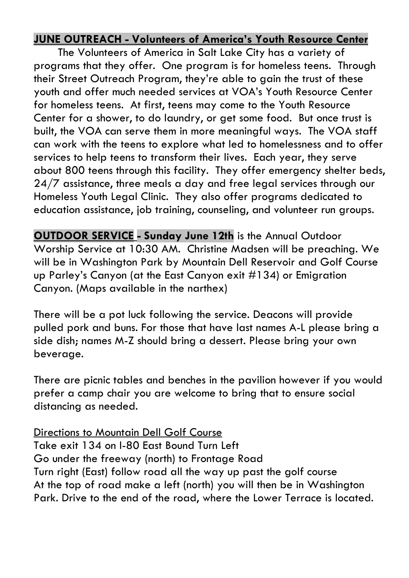# **JUNE OUTREACH - Volunteers of America's Youth Resource Center**

The Volunteers of America in Salt Lake City has a variety of programs that they offer. One program is for homeless teens. Through their Street Outreach Program, they're able to gain the trust of these youth and offer much needed services at VOA's Youth Resource Center for homeless teens. At first, teens may come to the Youth Resource Center for a shower, to do laundry, or get some food. But once trust is built, the VOA can serve them in more meaningful ways. The VOA staff can work with the teens to explore what led to homelessness and to offer services to help teens to transform their lives. Each year, they serve about 800 teens through this facility. They offer emergency shelter beds, 24/7 assistance, three meals a day and free legal services through our Homeless Youth Legal Clinic. They also offer programs dedicated to education assistance, job training, counseling, and volunteer run groups.

**OUTDOOR SERVICE - Sunday June 12th** is the Annual Outdoor Worship Service at 10:30 AM. Christine Madsen will be preaching. We will be in Washington Park by Mountain Dell Reservoir and Golf Course up Parley's Canyon (at the East Canyon exit #134) or Emigration Canyon. (Maps available in the narthex)

There will be a pot luck following the service. Deacons will provide pulled pork and buns. For those that have last names A-L please bring a side dish; names M-Z should bring a dessert. Please bring your own beverage.

There are picnic tables and benches in the pavilion however if you would prefer a camp chair you are welcome to bring that to ensure social distancing as needed.

# Directions to Mountain Dell Golf Course

Take exit 134 on I-80 East Bound Turn Left Go under the freeway (north) to Frontage Road Turn right (East) follow road all the way up past the golf course At the top of road make a left (north) you will then be in Washington Park. Drive to the end of the road, where the Lower Terrace is located.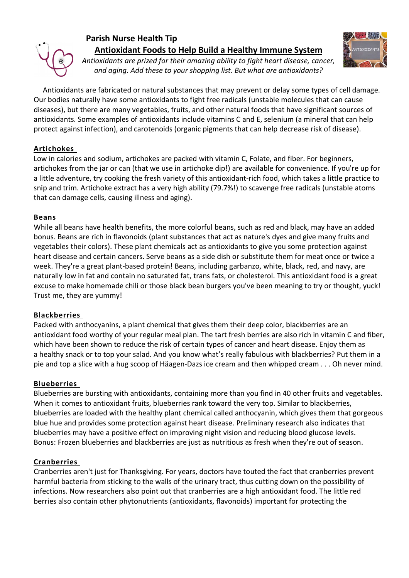

# **Parish Nurse Health Tip Antioxidant Foods to Help Build a Healthy Immune System**



*Antioxidants are prized for their amazing ability to fight heart disease, cancer, and aging. Add these to your shopping list. But what are antioxidants?* 

 Antioxidants are fabricated or natural substances that may prevent or delay some types of cell damage. Our bodies naturally have some antioxidants to fight free radicals (unstable molecules that can cause diseases), but there are many vegetables, fruits, and other natural foods that have significant sources of antioxidants. Some examples of antioxidants include vitamins C and E, selenium (a mineral that can help protect against infection), and carotenoids (organic pigments that can help decrease risk of disease).

## **Artichokes**

Low in calories and sodium, artichokes are packed with vitamin C, Folate, and fiber. For beginners, artichokes from the jar or can (that we use in artichoke dip!) are available for convenience. If you're up for a little adventure, try cooking the fresh variety of this antioxidant-rich food, which takes a little practice to snip and trim. Artichoke extract has a very high ability (79.7%!) to scavenge free radicals (unstable atoms that can damage cells, causing illness and aging).

## **Beans**

While all beans have health benefits, the more colorful beans, such as red and black, may have an added bonus. Beans are rich in flavonoids (plant substances that act as nature's dyes and give many fruits and vegetables their colors). These plant chemicals act as antioxidants to give you some protection against heart disease and certain cancers. Serve beans as a side dish or substitute them for meat once or twice a week. They're a great plant-based protein! Beans, including garbanzo, white, black, red, and navy, are naturally low in fat and contain no saturated fat, trans fats, or cholesterol. This antioxidant food is a great excuse to make homemade chili or those black bean burgers you've been meaning to try or thought, yuck! Trust me, they are yummy!

# **Blackberries**

Packed with anthocyanins, a plant chemical that gives them their deep color, blackberries are an antioxidant food worthy of your regular meal plan. The tart fresh berries are also rich in vitamin C and fiber, which have been shown to reduce the risk of certain types of cancer and heart disease. Enjoy them as a healthy snack or to top your salad. And you know what's really fabulous with blackberries? Put them in a pie and top a slice with a hug scoop of Häagen-Dazs ice cream and then whipped cream . . . Oh never mind.

# **Blueberries**

Blueberries are bursting with antioxidants, containing more than you find in 40 other fruits and vegetables. When it comes to antioxidant fruits, blueberries rank toward the very top. Similar to blackberries, blueberries are loaded with the healthy plant chemical called anthocyanin, which gives them that gorgeous blue hue and provides some protection against heart disease. Preliminary research also indicates that blueberries may have a positive effect on improving night vision and reducing blood glucose levels. Bonus: Frozen blueberries and blackberries are just as nutritious as fresh when they're out of season.

## **Cranberries**

Cranberries aren't just for Thanksgiving. For years, doctors have touted the fact that cranberries prevent harmful bacteria from sticking to the walls of the urinary tract, thus cutting down on the possibility of infections. Now researchers also point out that cranberries are a high antioxidant food. The little red berries also contain other phytonutrients (antioxidants, flavonoids) important for protecting the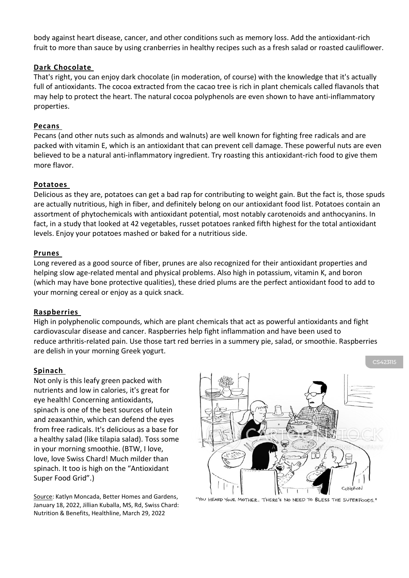body against heart disease, cancer, and other conditions such as memory loss. Add the antioxidant-rich fruit to more than sauce by using cranberries in healthy recipes such as a fresh salad or roasted cauliflower.

#### **Dark Chocolate**

That's right, you can enjoy dark chocolate (in moderation, of course) with the knowledge that it's actually full of antioxidants. The cocoa extracted from the cacao tree is rich in plant chemicals called flavanols that may help to protect the heart. The natural cocoa polyphenols are even shown to have anti-inflammatory properties.

### **Pecans**

Pecans (and other nuts such as almonds and walnuts) are well known for fighting free radicals and are packed with vitamin E, which is an antioxidant that can prevent cell damage. These powerful nuts are even believed to be a natural anti-inflammatory ingredient. Try roasting this antioxidant-rich food to give them more flavor.

## **Potatoes**

Delicious as they are, potatoes can get a bad rap for contributing to weight gain. But the fact is, those spuds are actually nutritious, high in fiber, and definitely belong on our antioxidant food list. Potatoes contain an assortment of phytochemicals with antioxidant potential, most notably carotenoids and anthocyanins. In fact, in a study that looked at 42 vegetables, russet potatoes ranked fifth highest for the total antioxidant levels. Enjoy your potatoes mashed or baked for a nutritious side.

#### **Prunes**

Long revered as a good source of fiber, prunes are also recognized for their antioxidant properties and helping slow age-related mental and physical problems. Also high in potassium, vitamin K, and boron (which may have bone protective qualities), these dried plums are the perfect antioxidant food to add to your morning cereal or enjoy as a quick snack.

#### **Raspberries**

High in polyphenolic compounds, which are plant chemicals that act as powerful antioxidants and fight cardiovascular disease and cancer. Raspberries help fight inflammation and have been used to reduce arthritis-related pain. Use those tart red berries in a summery pie, salad, or smoothie. Raspberries are delish in your morning Greek yogurt.

#### **Spinach**

Not only is this leafy green packed with nutrients and low in calories, it's great for eye health! Concerning antioxidants, spinach is one of the best sources of lutein and zeaxanthin, which can defend the eyes from free radicals. It's delicious as a base for a healthy salad (like tilapia salad). Toss some in your morning smoothie. (BTW, I love, love, love Swiss Chard! Much milder than spinach. It too is high on the "Antioxidant Super Food Grid".)

Source: Katlyn Moncada, Better Homes and Gardens, January 18, 2022, Jillian Kuballa, MS, Rd, Swiss Chard: Nutrition & Benefits, Healthline, March 29, 2022



"YOU HEARD YOUR MOTHER. THERE'S NO NEED TO BLESS THE SUPERFOODS."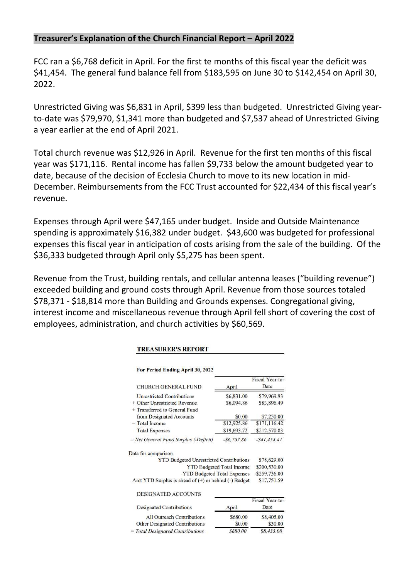# **Treasurer's Explanation of the Church Financial Report – April 2022**

FCC ran a \$6,768 deficit in April. For the first te months of this fiscal year the deficit was \$41,454. The general fund balance fell from \$183,595 on June 30 to \$142,454 on April 30, 2022.

Unrestricted Giving was \$6,831 in April, \$399 less than budgeted. Unrestricted Giving yearto-date was \$79,970, \$1,341 more than budgeted and \$7,537 ahead of Unrestricted Giving a year earlier at the end of April 2021.

Total church revenue was \$12,926 in April. Revenue for the first ten months of this fiscal year was \$171,116. Rental income has fallen \$9,733 below the amount budgeted year to date, because of the decision of Ecclesia Church to move to its new location in mid-December. Reimbursements from the FCC Trust accounted for \$22,434 of this fiscal year's revenue.

Expenses through April were \$47,165 under budget. Inside and Outside Maintenance spending is approximately \$16,382 under budget. \$43,600 was budgeted for professional expenses this fiscal year in anticipation of costs arising from the sale of the building. Of the \$36,333 budgeted through April only \$5,275 has been spent.

Revenue from the Trust, building rentals, and cellular antenna leases ("building revenue") exceeded building and ground costs through April. Revenue from those sources totaled \$78,371 - \$18,814 more than Building and Grounds expenses. Congregational giving, interest income and miscellaneous revenue through April fell short of covering the cost of employees, administration, and church activities by \$60,569.

|                                                          |                                  | Fiscal Year-to-  |
|----------------------------------------------------------|----------------------------------|------------------|
| <b>CHURCH GENERAL FUND</b>                               | April                            | Date             |
| <b>Unrestricted Contributions</b>                        | \$6,831.00                       | \$79,969.93      |
| + Other Unrestricted Revenue                             | \$6,094.86                       | \$83,896.49      |
| + Transferred to General Fund                            |                                  |                  |
| from Designated Accounts                                 | \$0.00                           | \$7,250.00       |
| $=$ Total Income                                         | \$12,925.86                      | \$171,116.42     |
| <b>Total Expenses</b>                                    | -\$19,693.72                     | $-$ \$212,570.83 |
| = Net General Fund Surplus (-Deficit)                    | $-56,767,86$                     | $- $41,454.41$   |
| Data for comparison                                      |                                  |                  |
| <b>YTD Budgeted Unrestricted Contributions</b>           |                                  | \$78,629.00      |
|                                                          | <b>YTD Budgeted Total Income</b> | \$200,530.00     |
| <b>YTD Budgeted Total Expenses</b>                       |                                  | $-$ \$259,736.00 |
| Amt YTD Surplus is ahead of $(+)$ or behind $(-)$ Budget |                                  | \$17,751.59      |
| <b>DESIGNATED ACCOUNTS</b>                               |                                  |                  |
|                                                          |                                  | Fiscal Year-to-  |
| Designated Contributions                                 | April                            | Date             |
| <b>All Outreach Contributions</b>                        | \$680.00                         | \$8,405.00       |
| <b>Other Designated Contributions</b>                    | \$0.00                           | \$30.00          |

\$680.00

\$8,435.00

#### **TREASURER'S REPORT**

 $= Total$  Designated Contributions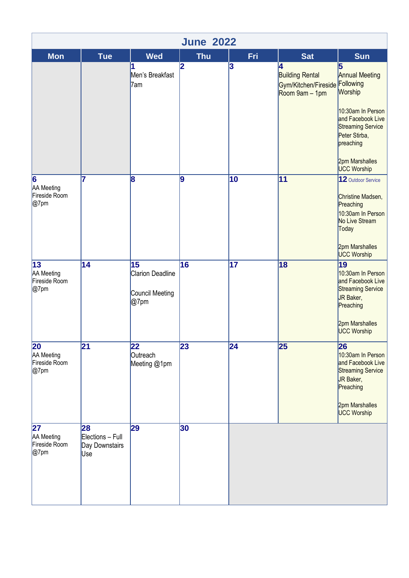| <b>June 2022</b>                                          |                                                 |                                                                       |            |                 |                                                                                 |                                                                                                                                                         |  |
|-----------------------------------------------------------|-------------------------------------------------|-----------------------------------------------------------------------|------------|-----------------|---------------------------------------------------------------------------------|---------------------------------------------------------------------------------------------------------------------------------------------------------|--|
| <b>Mon</b>                                                | <b>Tue</b>                                      | <b>Wed</b>                                                            | <b>Thu</b> | Fri             | <b>Sat</b>                                                                      | Sun                                                                                                                                                     |  |
|                                                           |                                                 | 1<br>Men's Breakfast<br>7am                                           | 2          | 3               | 4<br><b>Building Rental</b><br>Gym/Kitchen/Fireside Following<br>Room 9am - 1pm | 5<br><b>Annual Meeting</b><br>Worship<br>10:30am In Person<br>and Facebook Live<br><b>Streaming Service</b><br>Peter Stirba,<br>preaching               |  |
|                                                           |                                                 |                                                                       |            |                 |                                                                                 | 2pm Marshalles<br>UCC Worship                                                                                                                           |  |
| 6<br>AA Meeting<br>Fireside Room<br>$@7$ pm               | 7                                               | 8                                                                     | 9          | 10              | 11                                                                              | 12 Outdoor Service<br>Christine Madsen,<br>Preaching<br>10:30am In Person<br>No Live Stream<br>Today<br>2pm Marshalles<br><b>UCC Worship</b>            |  |
| 13<br>AA Meeting<br>Fireside Room<br>$@7$ pm              | $\overline{14}$                                 | $\overline{15}$<br><b>Clarion Deadline</b><br>Council Meeting<br>@7pm | 16         | $\overline{17}$ | $\overline{18}$                                                                 | $\overline{19}$<br>10:30am In Person<br>and Facebook Live<br><b>Streaming Service</b><br>JR Baker,<br>Preaching<br>2pm Marshalles<br><b>UCC Worship</b> |  |
| $\overline{20}$<br>AA Meeting<br>Fireside Room<br>$@7$ pm | $\overline{21}$                                 | 22<br>Outreach<br>Meeting @1pm                                        | 23         | $\overline{24}$ | 25                                                                              | 26<br>10:30am In Person<br>and Facebook Live<br><b>Streaming Service</b><br>JR Baker,<br>Preaching<br>2pm Marshalles<br><b>UCC Worship</b>              |  |
| 27<br>AA Meeting<br>Fireside Room<br>$@7$ pm              | 28<br>Elections - Full<br>Day Downstairs<br>Use | 29                                                                    | 30         |                 |                                                                                 |                                                                                                                                                         |  |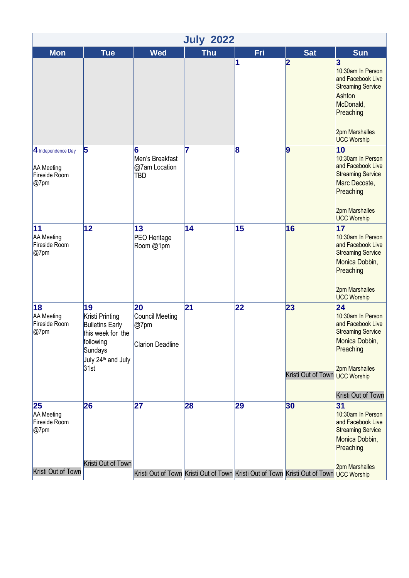|                                                                  |                                                                                                                                        |                                                                                               | <b>July 2022</b> |     |                                      |                                                                                                                                                     |
|------------------------------------------------------------------|----------------------------------------------------------------------------------------------------------------------------------------|-----------------------------------------------------------------------------------------------|------------------|-----|--------------------------------------|-----------------------------------------------------------------------------------------------------------------------------------------------------|
| <b>Mon</b>                                                       | <b>Tue</b>                                                                                                                             | <b>Wed</b>                                                                                    | <b>Thu</b>       | Fri | <b>Sat</b>                           | <b>Sun</b>                                                                                                                                          |
|                                                                  |                                                                                                                                        |                                                                                               |                  | 1   | 2                                    | 3<br>10:30am In Person<br>and Facebook Live<br><b>Streaming Service</b><br>Ashton<br>McDonald,<br>Preaching<br>2pm Marshalles<br><b>UCC Worship</b> |
| 4 Independence Day<br><b>AA</b> Meeting<br>Fireside Room<br>@7pm | 5                                                                                                                                      | 6<br>Men's Breakfast<br>@7am Location<br><b>TBD</b>                                           | $\overline{7}$   | 8   | 9                                    | 10<br>10:30am In Person<br>and Facebook Live<br><b>Streaming Service</b><br>Marc Decoste,<br>Preaching<br>2pm Marshalles<br><b>UCC Worship</b>      |
| 11<br>AA Meeting<br>Fireside Room<br>@7pm                        | 12                                                                                                                                     | 13<br><b>PEO</b> Heritage<br>Room @1pm                                                        | 14               | 15  | 16                                   | 17<br>10:30am In Person<br>and Facebook Live<br><b>Streaming Service</b><br>Monica Dobbin,<br>Preaching<br>2pm Marshalles<br><b>UCC Worship</b>     |
| 18<br>AA Meeting<br>Fireside Room<br>@7pm                        | 19<br>Kristi Printing<br><b>Bulletins Early</b><br>this week for the<br>following<br>Sundays<br>July 24 <sup>th</sup> and July<br>31st | 20<br>Council Meeting<br>$@7$ pm<br><b>Clarion Deadline</b>                                   | $\overline{21}$  | 22  | 23<br>Kristi Out of Town UCC Worship | 24<br>10:30am In Person<br>and Facebook Live<br><b>Streaming Service</b><br>Monica Dobbin,<br>Preaching<br>2pm Marshalles<br>Kristi Out of Town     |
| 25<br>AA Meeting<br>Fireside Room<br>@7pm<br>Kristi Out of Town  | 26<br>Kristi Out of Town                                                                                                               | 27<br>Kristi Out of Town Kristi Out of Town Kristi Out of Town Kristi Out of Town UCC Worship | 28               | 29  | 30                                   | 31<br>10:30am In Person<br>and Facebook Live<br><b>Streaming Service</b><br>Monica Dobbin,<br>Preaching<br>2pm Marshalles                           |